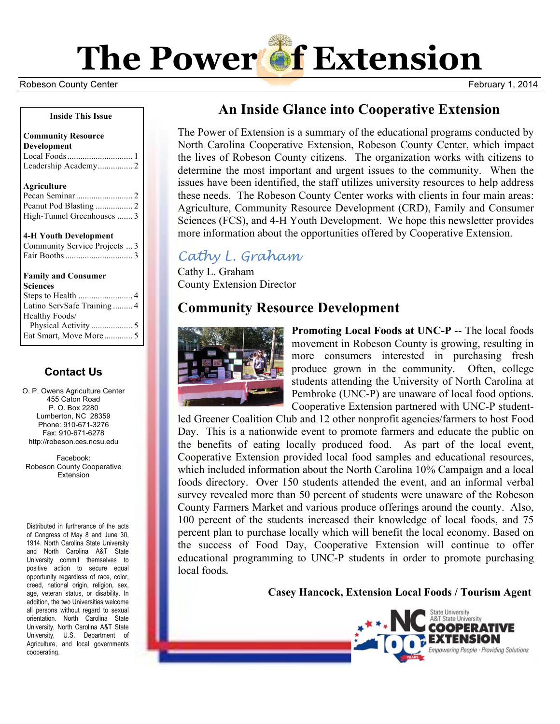**The Power of Extension** 

Robeson County Center **February 1, 2014 Robeson County Center** February 1, 2014

#### **Inside This Issue**

#### **Community Resource Development** Local Foods.............................. 1 Leadership Academy................ 2

#### **Agriculture**

| High-Tunnel Greenhouses  3 |  |
|----------------------------|--|

#### **4-H Youth Development**

| Community Service Projects  3 |  |
|-------------------------------|--|
|                               |  |

### **Family and Consumer**

| <b>Sciences</b>            |
|----------------------------|
|                            |
| Latino ServSafe Training 4 |
| Healthy Foods/             |
|                            |
|                            |

## **Contact Us**

O. P. Owens Agriculture Center 455 Caton Road P. O. Box 2280 Lumberton, NC 28359 Phone: 910-671-3276 Fax: 910-671-6278 http://robeson.ces.ncsu.edu

Facebook: Robeson County Cooperative Extension

Distributed in furtherance of the acts of Congress of May 8 and June 30, 1914. North Carolina State University and North Carolina A&T State University commit themselves to positive action to secure equal opportunity regardless of race, color, creed, national origin, religion, sex, age, veteran status, or disability. In addition, the two Universities welcome all persons without regard to sexual orientation. North Carolina State University, North Carolina A&T State University, U.S. Department of Agriculture, and local governments cooperating.

# **An Inside Glance into Cooperative Extension**

The Power of Extension is a summary of the educational programs conducted by North Carolina Cooperative Extension, Robeson County Center, which impact the lives of Robeson County citizens. The organization works with citizens to determine the most important and urgent issues to the community. When the issues have been identified, the staff utilizes university resources to help address these needs. The Robeson County Center works with clients in four main areas: Agriculture, Community Resource Development (CRD), Family and Consumer Sciences (FCS), and 4-H Youth Development. We hope this newsletter provides more information about the opportunities offered by Cooperative Extension.

# *Cathy L. Graham*

Cathy L. Graham County Extension Director

# **Community Resource Development**



**Promoting Local Foods at UNC-P** -- The local foods movement in Robeson County is growing, resulting in more consumers interested in purchasing fresh produce grown in the community. Often, college students attending the University of North Carolina at Pembroke (UNC-P) are unaware of local food options. Cooperative Extension partnered with UNC-P student-

led Greener Coalition Club and 12 other nonprofit agencies/farmers to host Food Day. This is a nationwide event to promote farmers and educate the public on the benefits of eating locally produced food. As part of the local event, Cooperative Extension provided local food samples and educational resources, which included information about the North Carolina 10% Campaign and a local foods directory. Over 150 students attended the event, and an informal verbal survey revealed more than 50 percent of students were unaware of the Robeson County Farmers Market and various produce offerings around the county. Also, 100 percent of the students increased their knowledge of local foods, and 75 percent plan to purchase locally which will benefit the local economy. Based on the success of Food Day, Cooperative Extension will continue to offer educational programming to UNC-P students in order to promote purchasing local foods.

**Casey Hancock, Extension Local Foods / Tourism Agent**

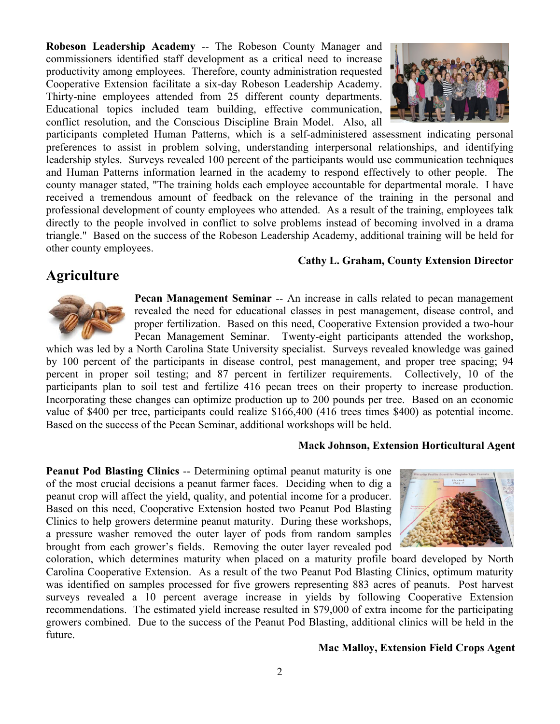**Robeson Leadership Academy** -- The Robeson County Manager and commissioners identified staff development as a critical need to increase productivity among employees. Therefore, county administration requested Cooperative Extension facilitate a six-day Robeson Leadership Academy. Thirty-nine employees attended from 25 different county departments. Educational topics included team building, effective communication, conflict resolution, and the Conscious Discipline Brain Model. Also, all



participants completed Human Patterns, which is a self-administered assessment indicating personal preferences to assist in problem solving, understanding interpersonal relationships, and identifying leadership styles. Surveys revealed 100 percent of the participants would use communication techniques and Human Patterns information learned in the academy to respond effectively to other people. The county manager stated, "The training holds each employee accountable for departmental morale. I have received a tremendous amount of feedback on the relevance of the training in the personal and professional development of county employees who attended. As a result of the training, employees talk directly to the people involved in conflict to solve problems instead of becoming involved in a drama triangle." Based on the success of the Robeson Leadership Academy, additional training will be held for other county employees.

#### **Cathy L. Graham, County Extension Director**

## **Agriculture**



**Pecan Management Seminar** -- An increase in calls related to pecan management revealed the need for educational classes in pest management, disease control, and proper fertilization. Based on this need, Cooperative Extension provided a two-hour Pecan Management Seminar. Twenty-eight participants attended the workshop,

which was led by a North Carolina State University specialist. Surveys revealed knowledge was gained by 100 percent of the participants in disease control, pest management, and proper tree spacing; 94 percent in proper soil testing; and 87 percent in fertilizer requirements. Collectively, 10 of the participants plan to soil test and fertilize 416 pecan trees on their property to increase production. Incorporating these changes can optimize production up to 200 pounds per tree. Based on an economic value of \$400 per tree, participants could realize \$166,400 (416 trees times \$400) as potential income. Based on the success of the Pecan Seminar, additional workshops will be held.

#### **Mack Johnson, Extension Horticultural Agent**

**Peanut Pod Blasting Clinics** -- Determining optimal peanut maturity is one of the most crucial decisions a peanut farmer faces. Deciding when to dig a peanut crop will affect the yield, quality, and potential income for a producer. Based on this need, Cooperative Extension hosted two Peanut Pod Blasting Clinics to help growers determine peanut maturity. During these workshops, a pressure washer removed the outer layer of pods from random samples brought from each grower's fields. Removing the outer layer revealed pod



coloration, which determines maturity when placed on a maturity profile board developed by North Carolina Cooperative Extension. As a result of the two Peanut Pod Blasting Clinics, optimum maturity was identified on samples processed for five growers representing 883 acres of peanuts. Post harvest surveys revealed a 10 percent average increase in yields by following Cooperative Extension recommendations. The estimated yield increase resulted in \$79,000 of extra income for the participating growers combined. Due to the success of the Peanut Pod Blasting, additional clinics will be held in the future.

#### **Mac Malloy, Extension Field Crops Agent**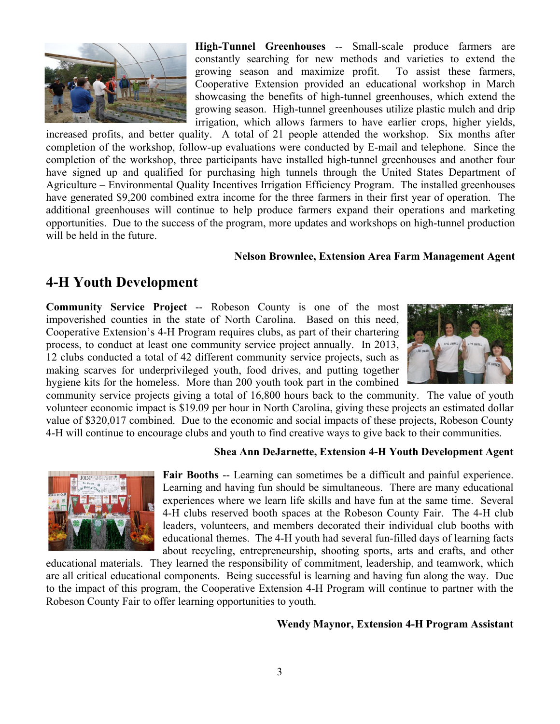

**High-Tunnel Greenhouses** -- Small-scale produce farmers are constantly searching for new methods and varieties to extend the growing season and maximize profit. To assist these farmers, Cooperative Extension provided an educational workshop in March showcasing the benefits of high-tunnel greenhouses, which extend the growing season. High-tunnel greenhouses utilize plastic mulch and drip irrigation, which allows farmers to have earlier crops, higher yields,

increased profits, and better quality. A total of 21 people attended the workshop. Six months after completion of the workshop, follow-up evaluations were conducted by E-mail and telephone. Since the completion of the workshop, three participants have installed high-tunnel greenhouses and another four have signed up and qualified for purchasing high tunnels through the United States Department of Agriculture – Environmental Quality Incentives Irrigation Efficiency Program. The installed greenhouses have generated \$9,200 combined extra income for the three farmers in their first year of operation. The additional greenhouses will continue to help produce farmers expand their operations and marketing opportunities. Due to the success of the program, more updates and workshops on high-tunnel production will be held in the future.

### **Nelson Brownlee, Extension Area Farm Management Agent**

## **4-H Youth Development**

**Community Service Project** -- Robeson County is one of the most impoverished counties in the state of North Carolina. Based on this need, Cooperative Extension's 4-H Program requires clubs, as part of their chartering process, to conduct at least one community service project annually. In 2013, 12 clubs conducted a total of 42 different community service projects, such as making scarves for underprivileged youth, food drives, and putting together hygiene kits for the homeless. More than 200 youth took part in the combined



community service projects giving a total of 16,800 hours back to the community. The value of youth volunteer economic impact is \$19.09 per hour in North Carolina, giving these projects an estimated dollar value of \$320,017 combined. Due to the economic and social impacts of these projects, Robeson County 4-H will continue to encourage clubs and youth to find creative ways to give back to their communities.

### **Shea Ann DeJarnette, Extension 4-H Youth Development Agent**



**Fair Booths** -- Learning can sometimes be a difficult and painful experience. Learning and having fun should be simultaneous. There are many educational experiences where we learn life skills and have fun at the same time. Several 4-H clubs reserved booth spaces at the Robeson County Fair. The 4-H club leaders, volunteers, and members decorated their individual club booths with educational themes. The 4-H youth had several fun-filled days of learning facts about recycling, entrepreneurship, shooting sports, arts and crafts, and other

educational materials. They learned the responsibility of commitment, leadership, and teamwork, which are all critical educational components. Being successful is learning and having fun along the way. Due to the impact of this program, the Cooperative Extension 4-H Program will continue to partner with the Robeson County Fair to offer learning opportunities to youth.

#### **Wendy Maynor, Extension 4-H Program Assistant**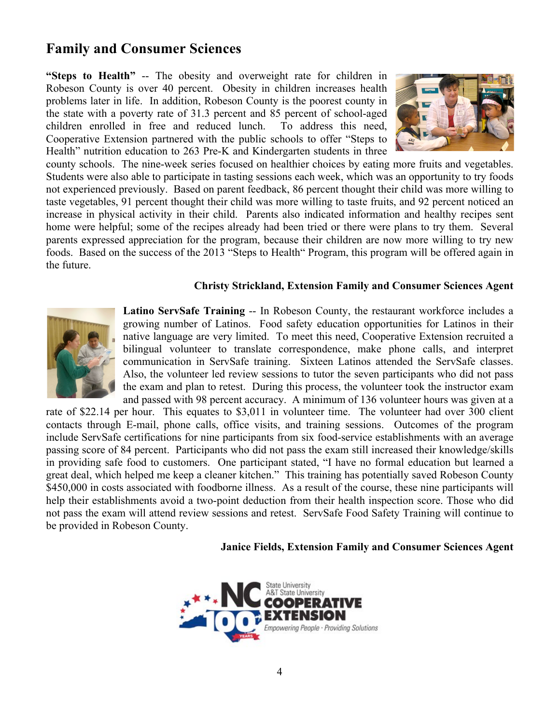# **Family and Consumer Sciences**

**"Steps to Health"** -- The obesity and overweight rate for children in Robeson County is over 40 percent. Obesity in children increases health problems later in life. In addition, Robeson County is the poorest county in the state with a poverty rate of 31.3 percent and 85 percent of school-aged children enrolled in free and reduced lunch. To address this need, Cooperative Extension partnered with the public schools to offer "Steps to Health" nutrition education to 263 Pre-K and Kindergarten students in three



county schools. The nine-week series focused on healthier choices by eating more fruits and vegetables. Students were also able to participate in tasting sessions each week, which was an opportunity to try foods not experienced previously. Based on parent feedback, 86 percent thought their child was more willing to taste vegetables, 91 percent thought their child was more willing to taste fruits, and 92 percent noticed an increase in physical activity in their child. Parents also indicated information and healthy recipes sent home were helpful; some of the recipes already had been tried or there were plans to try them. Several parents expressed appreciation for the program, because their children are now more willing to try new foods. Based on the success of the 2013 "Steps to Health" Program, this program will be offered again in the future.

### **Christy Strickland, Extension Family and Consumer Sciences Agent**



**Latino ServSafe Training** -- In Robeson County, the restaurant workforce includes a growing number of Latinos. Food safety education opportunities for Latinos in their native language are very limited. To meet this need, Cooperative Extension recruited a bilingual volunteer to translate correspondence, make phone calls, and interpret communication in ServSafe training. Sixteen Latinos attended the ServSafe classes. Also, the volunteer led review sessions to tutor the seven participants who did not pass the exam and plan to retest. During this process, the volunteer took the instructor exam and passed with 98 percent accuracy. A minimum of 136 volunteer hours was given at a

rate of \$22.14 per hour. This equates to \$3,011 in volunteer time. The volunteer had over 300 client contacts through E-mail, phone calls, office visits, and training sessions. Outcomes of the program include ServSafe certifications for nine participants from six food-service establishments with an average passing score of 84 percent. Participants who did not pass the exam still increased their knowledge/skills in providing safe food to customers. One participant stated, "I have no formal education but learned a great deal, which helped me keep a cleaner kitchen." This training has potentially saved Robeson County \$450,000 in costs associated with foodborne illness. As a result of the course, these nine participants will help their establishments avoid a two-point deduction from their health inspection score. Those who did not pass the exam will attend review sessions and retest. ServSafe Food Safety Training will continue to be provided in Robeson County.

#### **Janice Fields, Extension Family and Consumer Sciences Agent**